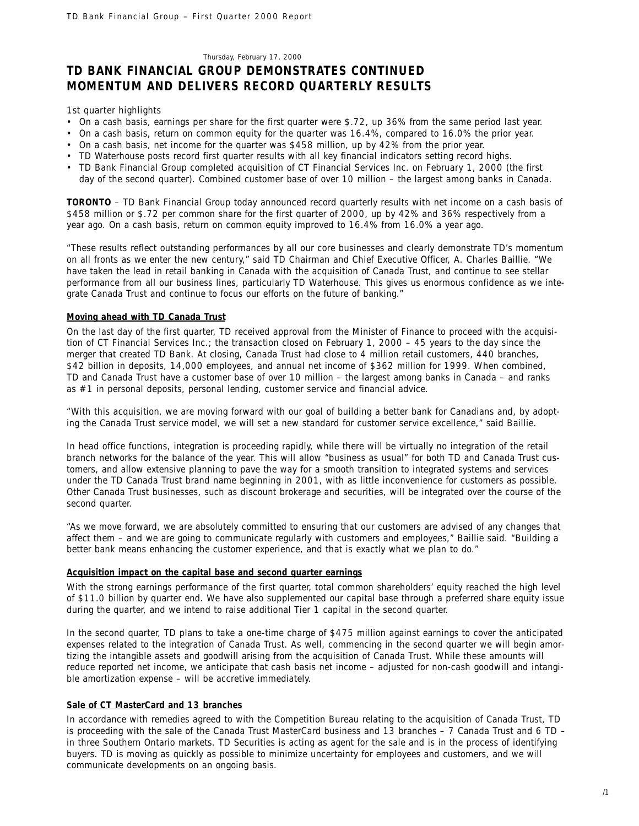#### Thursday, February 17, 2000

# **TD BANK FINANCIAL GROUP DEMONSTRATES CONTINUED MOMENTUM AND DELIVERS RECORD QUARTERLY RESULTS**

*1st quarter highlights*

- On a cash basis, earnings per share for the first quarter were \$.72, up 36% from the same period last year.
- On a cash basis, return on common equity for the quarter was 16.4%, compared to 16.0% the prior year.
- On a cash basis, net income for the quarter was \$458 million, up by 42% from the prior year.
- TD Waterhouse posts record first quarter results with all key financial indicators setting record highs.
- TD Bank Financial Group completed acquisition of CT Financial Services Inc. on February 1, 2000 (the first day of the second quarter). Combined customer base of over 10 million – the largest among banks in Canada.

**TORONTO** – TD Bank Financial Group today announced record quarterly results with net income on a cash basis of \$458 million or \$.72 per common share for the first quarter of 2000, up by 42% and 36% respectively from a year ago. On a cash basis, return on common equity improved to 16.4% from 16.0% a year ago.

"These results reflect outstanding performances by all our core businesses and clearly demonstrate TD's momentum on all fronts as we enter the new century," said TD Chairman and Chief Executive Officer, A. Charles Baillie. "We have taken the lead in retail banking in Canada with the acquisition of Canada Trust, and continue to see stellar performance from all our business lines, particularly TD Waterhouse. This gives us enormous confidence as we integrate Canada Trust and continue to focus our efforts on the future of banking."

# **Moving ahead with TD Canada Trust**

On the last day of the first quarter, TD received approval from the Minister of Finance to proceed with the acquisition of CT Financial Services Inc.; the transaction closed on February 1, 2000 – 45 years to the day since the merger that created TD Bank. At closing, Canada Trust had close to 4 million retail customers, 440 branches, \$42 billion in deposits, 14,000 employees, and annual net income of \$362 million for 1999. When combined, TD and Canada Trust have a customer base of over 10 million – the largest among banks in Canada – and ranks as #1 in personal deposits, personal lending, customer service and financial advice.

"With this acquisition, we are moving forward with our goal of building a better bank for Canadians and, by adopting the Canada Trust service model, we will set a new standard for customer service excellence," said Baillie.

In head office functions, integration is proceeding rapidly, while there will be virtually no integration of the retail branch networks for the balance of the year. This will allow "business as usual" for both TD and Canada Trust customers, and allow extensive planning to pave the way for a smooth transition to integrated systems and services under the TD Canada Trust brand name beginning in 2001, with as little inconvenience for customers as possible. Other Canada Trust businesses, such as discount brokerage and securities, will be integrated over the course of the second quarter.

"As we move forward, we are absolutely committed to ensuring that our customers are advised of any changes that affect them – and we are going to communicate regularly with customers and employees," Baillie said. "Building a better bank means enhancing the customer experience, and that is exactly what we plan to do."

# **Acquisition impact on the capital base and second quarter earnings**

With the strong earnings performance of the first quarter, total common shareholders' equity reached the high level of \$11.0 billion by quarter end. We have also supplemented our capital base through a preferred share equity issue during the quarter, and we intend to raise additional Tier 1 capital in the second quarter.

In the second quarter, TD plans to take a one-time charge of \$475 million against earnings to cover the anticipated expenses related to the integration of Canada Trust. As well, commencing in the second quarter we will begin amortizing the intangible assets and goodwill arising from the acquisition of Canada Trust. While these amounts will reduce reported net income, we anticipate that cash basis net income – adjusted for non-cash goodwill and intangible amortization expense – will be accretive immediately.

# **Sale of CT MasterCard and 13 branches**

In accordance with remedies agreed to with the Competition Bureau relating to the acquisition of Canada Trust, TD is proceeding with the sale of the Canada Trust MasterCard business and 13 branches – 7 Canada Trust and 6 TD – in three Southern Ontario markets. TD Securities is acting as agent for the sale and is in the process of identifying buyers. TD is moving as quickly as possible to minimize uncertainty for employees and customers, and we will communicate developments on an ongoing basis.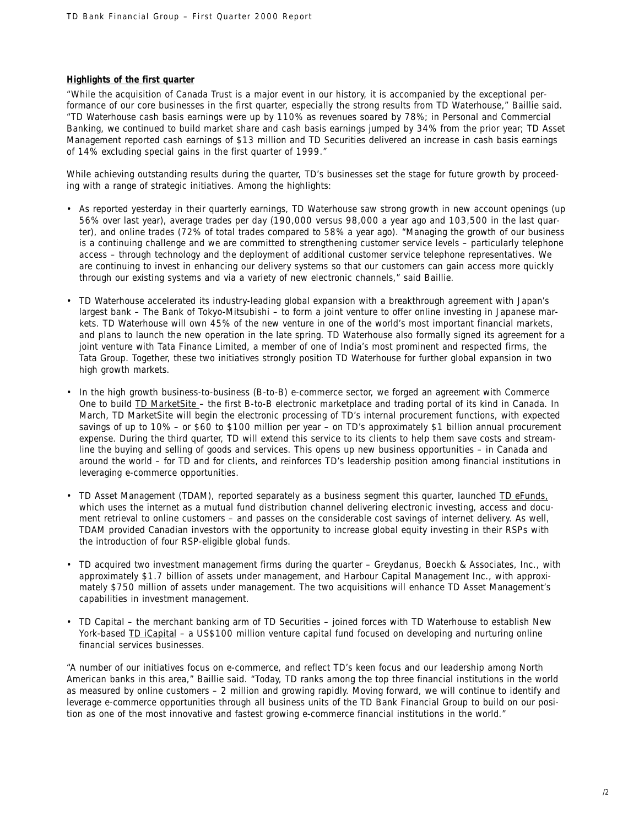# **Highlights of the first quarter**

"While the acquisition of Canada Trust is a major event in our history, it is accompanied by the exceptional performance of our core businesses in the first quarter, especially the strong results from TD Waterhouse," Baillie said. "TD Waterhouse cash basis earnings were up by 110% as revenues soared by 78%; in Personal and Commercial Banking, we continued to build market share and cash basis earnings jumped by 34% from the prior year; TD Asset Management reported cash earnings of \$13 million and TD Securities delivered an increase in cash basis earnings of 14% excluding special gains in the first quarter of 1999."

While achieving outstanding results during the quarter, TD's businesses set the stage for future growth by proceeding with a range of strategic initiatives. Among the highlights:

- As reported yesterday in their quarterly earnings, TD Waterhouse saw strong growth in new account openings (up 56% over last year), average trades per day (190,000 versus 98,000 a year ago and 103,500 in the last quarter), and online trades (72% of total trades compared to 58% a year ago). "Managing the growth of our business is a continuing challenge and we are committed to strengthening customer service levels – particularly telephone access – through technology and the deployment of additional customer service telephone representatives. We are continuing to invest in enhancing our delivery systems so that our customers can gain access more quickly through our existing systems and via a variety of new electronic channels," said Baillie.
- TD Waterhouse accelerated its industry-leading global expansion with a breakthrough agreement with Japan's largest bank – The Bank of Tokyo-Mitsubishi – to form a joint venture to offer online investing in Japanese markets. TD Waterhouse will own 45% of the new venture in one of the world's most important financial markets, and plans to launch the new operation in the late spring. TD Waterhouse also formally signed its agreement for a joint venture with Tata Finance Limited, a member of one of India's most prominent and respected firms, the Tata Group. Together, these two initiatives strongly position TD Waterhouse for further global expansion in two high growth markets.
- In the high growth business-to-business (B-to-B) e-commerce sector, we forged an agreement with Commerce One to build **TD MarketSite** – the first B-to-B electronic marketplace and trading portal of its kind in Canada. In March, TD MarketSite will begin the electronic processing of TD's internal procurement functions, with expected savings of up to 10% – or \$60 to \$100 million per year – on TD's approximately \$1 billion annual procurement expense. During the third quarter, TD will extend this service to its clients to help them save costs and streamline the buying and selling of goods and services. This opens up new business opportunities – in Canada and around the world – for TD and for clients, and reinforces TD's leadership position among financial institutions in leveraging e-commerce opportunities.
- TD Asset Management (TDAM), reported separately as a business segment this quarter, launched TD eFunds, which uses the internet as a mutual fund distribution channel delivering electronic investing, access and document retrieval to online customers – and passes on the considerable cost savings of internet delivery. As well, TDAM provided Canadian investors with the opportunity to increase global equity investing in their RSPs with the introduction of four RSP-eligible global funds.
- TD acquired two investment management firms during the quarter Greydanus, Boeckh & Associates, Inc., with approximately \$1.7 billion of assets under management, and Harbour Capital Management Inc., with approximately \$750 million of assets under management. The two acquisitions will enhance TD Asset Management's capabilities in investment management.
- TD Capital the merchant banking arm of TD Securities joined forces with TD Waterhouse to establish New York-based TD iCapital – a US\$100 million venture capital fund focused on developing and nurturing online financial services businesses.

"A number of our initiatives focus on e-commerce, and reflect TD's keen focus and our leadership among North American banks in this area," Baillie said. "Today, TD ranks among the top three financial institutions in the world as measured by online customers – 2 million and growing rapidly. Moving forward, we will continue to identify and leverage e-commerce opportunities through all business units of the TD Bank Financial Group to build on our position as one of the most innovative and fastest growing e-commerce financial institutions in the world."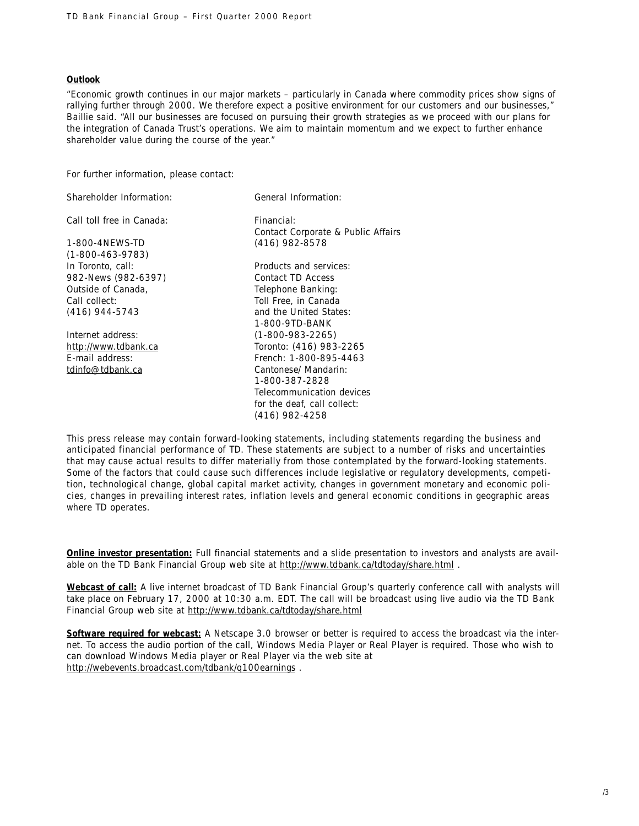# **Outlook**

"Economic growth continues in our major markets – particularly in Canada where commodity prices show signs of rallying further through 2000. We therefore expect a positive environment for our customers and our businesses," Baillie said. "All our businesses are focused on pursuing their growth strategies as we proceed with our plans for the integration of Canada Trust's operations. We aim to maintain momentum and we expect to further enhance shareholder value during the course of the year."

For further information, please contact:

| General Information:               |
|------------------------------------|
| Financial:                         |
| Contact Corporate & Public Affairs |
| $(416)$ 982-8578                   |
|                                    |
| Products and services:             |
| Contact TD Access                  |
| Telephone Banking:                 |
| Toll Free, in Canada               |
| and the United States:             |
| 1-800-9TD-BANK                     |
| $(1 - 800 - 983 - 2265)$           |
| Toronto: (416) 983-2265            |
| French: 1-800-895-4463             |
| Cantonese/ Mandarin:               |
| 1-800-387-2828                     |
| Telecommunication devices          |
| for the deaf, call collect:        |
| (416) 982-4258                     |
|                                    |

*This press release may contain forward-looking statements, including statements regarding the business and anticipated financial performance of TD. These statements are subject to a number of risks and uncertainties that may cause actual results to differ materially from those contemplated by the forward-looking statements. Some of the factors that could cause such differences include legislative or regulatory developments, competition, technological change, global capital market activity, changes in government monetary and economic policies, changes in prevailing interest rates, inflation levels and general economic conditions in geographic areas where TD operates.*

**Online investor presentation:** Full financial statements and a slide presentation to investors and analysts are available on the TD Bank Financial Group web site at http://www.tdbank.ca/tdtoday/share.html .

**Webcast of call:** A live internet broadcast of TD Bank Financial Group's quarterly conference call with analysts will take place on February 17, 2000 at 10:30 a.m. EDT. The call will be broadcast using live audio via the TD Bank Financial Group web site at http://www.tdbank.ca/tdtoday/share.html

**Software required for webcast:** A Netscape 3.0 browser or better is required to access the broadcast via the internet. To access the audio portion of the call, Windows Media Player or Real Player is required. Those who wish to can download Windows Media player or Real Player via the web site at http://webevents.broadcast.com/tdbank/q100earnings .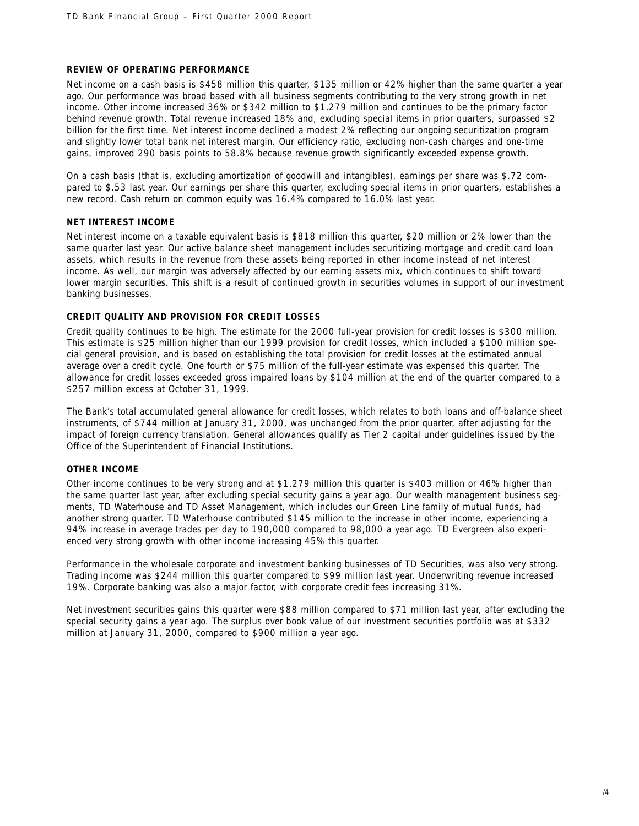# **REVIEW OF OPERATING PERFORMANCE**

Net income on a cash basis is \$458 million this quarter, \$135 million or 42% higher than the same quarter a year ago. Our performance was broad based with all business segments contributing to the very strong growth in net income. Other income increased 36% or \$342 million to \$1,279 million and continues to be the primary factor behind revenue growth. Total revenue increased 18% and, excluding special items in prior quarters, surpassed \$2 billion for the first time. Net interest income declined a modest 2% reflecting our ongoing securitization program and slightly lower total bank net interest margin. Our efficiency ratio, excluding non-cash charges and one-time gains, improved 290 basis points to 58.8% because revenue growth significantly exceeded expense growth.

On a cash basis (that is, excluding amortization of goodwill and intangibles), earnings per share was \$.72 compared to \$.53 last year. Our earnings per share this quarter, excluding special items in prior quarters, establishes a new record. Cash return on common equity was 16.4% compared to 16.0% last year.

# **NET INTEREST INCOME**

Net interest income on a taxable equivalent basis is \$818 million this quarter, \$20 million or 2% lower than the same quarter last year. Our active balance sheet management includes securitizing mortgage and credit card loan assets, which results in the revenue from these assets being reported in other income instead of net interest income. As well, our margin was adversely affected by our earning assets mix, which continues to shift toward lower margin securities. This shift is a result of continued growth in securities volumes in support of our investment banking businesses.

# **CREDIT QUALITY AND PROVISION FOR CREDIT LOSSES**

Credit quality continues to be high. The estimate for the 2000 full-year provision for credit losses is \$300 million. This estimate is \$25 million higher than our 1999 provision for credit losses, which included a \$100 million special general provision, and is based on establishing the total provision for credit losses at the estimated annual average over a credit cycle. One fourth or \$75 million of the full-year estimate was expensed this quarter. The allowance for credit losses exceeded gross impaired loans by \$104 million at the end of the quarter compared to a \$257 million excess at October 31, 1999.

The Bank's total accumulated general allowance for credit losses, which relates to both loans and off-balance sheet instruments, of \$744 million at January 31, 2000, was unchanged from the prior quarter, after adjusting for the impact of foreign currency translation. General allowances qualify as Tier 2 capital under guidelines issued by the Office of the Superintendent of Financial Institutions.

# **OTHER INCOME**

Other income continues to be very strong and at \$1,279 million this quarter is \$403 million or 46% higher than the same quarter last year, after excluding special security gains a year ago. Our wealth management business segments, TD Waterhouse and TD Asset Management, which includes our Green Line family of mutual funds, had another strong quarter. TD Waterhouse contributed \$145 million to the increase in other income, experiencing a 94% increase in average trades per day to 190,000 compared to 98,000 a year ago. TD Evergreen also experienced very strong growth with other income increasing 45% this quarter.

Performance in the wholesale corporate and investment banking businesses of TD Securities, was also very strong. Trading income was \$244 million this quarter compared to \$99 million last year. Underwriting revenue increased 19%. Corporate banking was also a major factor, with corporate credit fees increasing 31%.

Net investment securities gains this quarter were \$88 million compared to \$71 million last year, after excluding the special security gains a year ago. The surplus over book value of our investment securities portfolio was at \$332 million at January 31, 2000, compared to \$900 million a year ago.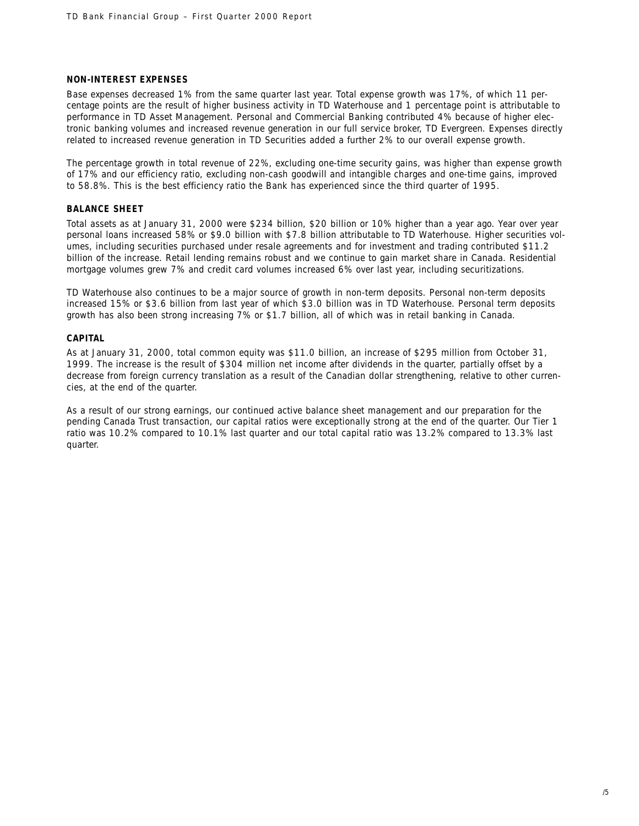## **NON-INTEREST EXPENSES**

Base expenses decreased 1% from the same quarter last year. Total expense growth was 17%, of which 11 percentage points are the result of higher business activity in TD Waterhouse and 1 percentage point is attributable to performance in TD Asset Management. Personal and Commercial Banking contributed 4% because of higher electronic banking volumes and increased revenue generation in our full service broker, TD Evergreen. Expenses directly related to increased revenue generation in TD Securities added a further 2% to our overall expense growth.

The percentage growth in total revenue of 22%, excluding one-time security gains, was higher than expense growth of 17% and our efficiency ratio, excluding non-cash goodwill and intangible charges and one-time gains, improved to 58.8%. This is the best efficiency ratio the Bank has experienced since the third quarter of 1995.

# **BALANCE SHEET**

Total assets as at January 31, 2000 were \$234 billion, \$20 billion or 10% higher than a year ago. Year over year personal loans increased 58% or \$9.0 billion with \$7.8 billion attributable to TD Waterhouse. Higher securities volumes, including securities purchased under resale agreements and for investment and trading contributed \$11.2 billion of the increase. Retail lending remains robust and we continue to gain market share in Canada. Residential mortgage volumes grew 7% and credit card volumes increased 6% over last year, including securitizations.

TD Waterhouse also continues to be a major source of growth in non-term deposits. Personal non-term deposits increased 15% or \$3.6 billion from last year of which \$3.0 billion was in TD Waterhouse. Personal term deposits growth has also been strong increasing 7% or \$1.7 billion, all of which was in retail banking in Canada.

## **CAPITAL**

As at January 31, 2000, total common equity was \$11.0 billion, an increase of \$295 million from October 31, 1999. The increase is the result of \$304 million net income after dividends in the quarter, partially offset by a decrease from foreign currency translation as a result of the Canadian dollar strengthening, relative to other currencies, at the end of the quarter.

As a result of our strong earnings, our continued active balance sheet management and our preparation for the pending Canada Trust transaction, our capital ratios were exceptionally strong at the end of the quarter. Our Tier 1 ratio was 10.2% compared to 10.1% last quarter and our total capital ratio was 13.2% compared to 13.3% last quarter.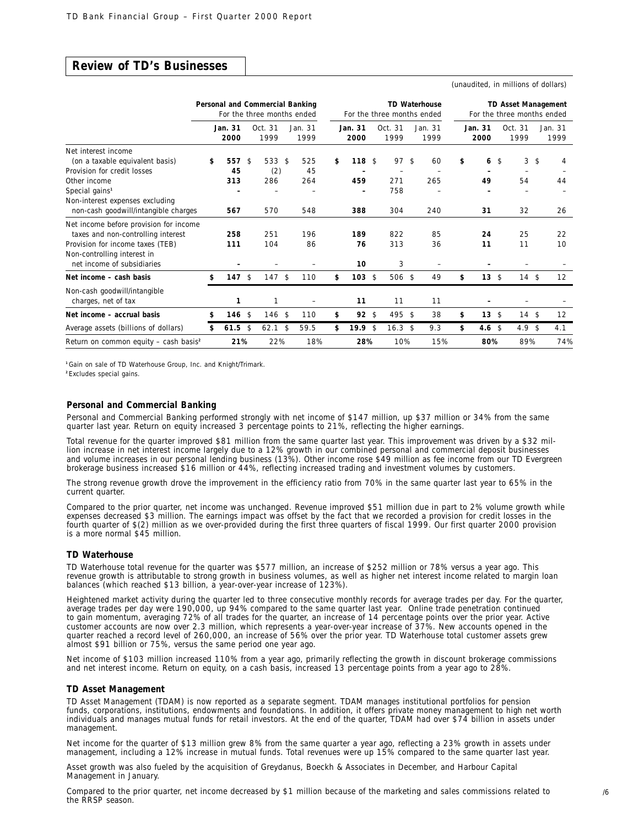# **Review of TD's Businesses**

(unaudited, in millions of dollars)

|                                                                                                                                                                               |                        |                | Personal and Commercial Banking<br>For the three months ended |               |                  |                               |                | For the three months ended                   |               | <b>TD Waterhouse</b> |                       | <b>TD Asset Management</b><br>For the three months ended |                 |
|-------------------------------------------------------------------------------------------------------------------------------------------------------------------------------|------------------------|----------------|---------------------------------------------------------------|---------------|------------------|-------------------------------|----------------|----------------------------------------------|---------------|----------------------|-----------------------|----------------------------------------------------------|-----------------|
|                                                                                                                                                                               | Jan. 31<br>2000        |                | Oct. 31<br>1999                                               |               | Jan. 31<br>1999  | Jan. 31<br>2000               |                | Oct.31<br>1999                               |               | Jan. 31<br>1999      | Jan. 31<br>2000       | Oct. 31<br>1999                                          | Jan. 31<br>1999 |
| Net interest income<br>(on a taxable equivalent basis)<br>Provision for credit losses<br>Other income<br>Special gains <sup>1</sup>                                           | \$<br>557<br>45<br>313 | $\mathfrak{S}$ | 533<br>(2)<br>286                                             | $\mathcal{S}$ | 525<br>45<br>264 | \$<br>118 <sup>5</sup><br>459 |                | 97<br>$\overline{\phantom{a}}$<br>271<br>758 | $\mathcal{L}$ | 60<br>265            | \$<br>6<br>49         | \$<br>3<br>54                                            | \$<br>4<br>44   |
| Non-interest expenses excluding<br>non-cash goodwill/intangible charges                                                                                                       | 567                    |                | 570                                                           |               | 548              | 388                           |                | 304                                          |               | 240                  | 31                    | 32                                                       | 26              |
| Net income before provision for income<br>taxes and non-controlling interest<br>Provision for income taxes (TEB)<br>Non-controlling interest in<br>net income of subsidiaries | 258<br>111             |                | 251<br>104                                                    |               | 196<br>86        | 189<br>76<br>10               |                | 822<br>313<br>3                              |               | 85<br>36             | 24<br>11              | 25<br>11                                                 | 22<br>10        |
| Net income - cash basis                                                                                                                                                       | \$<br>$147$ \$         |                | 147S                                                          |               | 110              | \$<br>$103 \text{ }$ \$       |                | 506 \$                                       |               | 49                   | \$<br>$13 \text{ } $$ | 14S                                                      | 12              |
| Non-cash goodwill/intangible<br>charges, net of tax                                                                                                                           | 1                      |                | 1                                                             |               |                  | 11                            |                | 11                                           |               | 11                   |                       |                                                          |                 |
| Net income - accrual basis                                                                                                                                                    | \$<br>146              | \$             | $146$ \$                                                      |               | 110              | \$<br>$92 \sqrt{5}$           |                | 495 \$                                       |               | 38                   | \$<br>$13 \text{ } $$ | 14S                                                      | 12              |
| Average assets (billions of dollars)                                                                                                                                          | \$<br>61.5             | \$             | 62.1                                                          | $\mathcal{L}$ | 59.5             | \$<br>19.9                    | $\mathfrak{S}$ | 16.3 <sup>5</sup>                            |               | 9.3                  | \$<br>4.6 $$$         | 4.9 <sup>5</sup>                                         | 4.1             |
| Return on common equity $-$ cash basis <sup>2</sup>                                                                                                                           | 21%                    |                | 22%                                                           |               | 18%              | 28%                           |                | 10%                                          |               | 15%                  | 80%                   | 89%                                                      | 74%             |

**<sup>1</sup>**Gain on sale of TD Waterhouse Group, Inc. and Knight/Trimark.

**<sup>2</sup>** Excludes special gains.

#### **Personal and Commercial Banking**

Personal and Commercial Banking performed strongly with net income of \$147 million, up \$37 million or 34% from the same quarter last year. Return on equity increased 3 percentage points to 21%, reflecting the higher earnings.

Total revenue for the quarter improved \$81 million from the same quarter last year. This improvement was driven by a \$32 million increase in net interest income largely due to a 12% growth in our combined personal and commercial deposit businesses and volume increases in our personal lending business (13%). Other income rose \$49 million as fee income from our TD Evergreen brokerage business increased \$16 million or 44%, reflecting increased trading and investment volumes by customers.

The strong revenue growth drove the improvement in the efficiency ratio from 70% in the same quarter last year to 65% in the current quarter.

Compared to the prior quarter, net income was unchanged. Revenue improved \$51 million due in part to 2% volume growth while expenses decreased \$3 million. The earnings impact was offset by the fact that we recorded a provision for credit losses in the fourth quarter of \$(2) million as we over-provided during the first three quarters of fiscal 1999. Our first quarter 2000 provision is a more normal \$45 million.

#### **TD Waterhouse**

TD Waterhouse total revenue for the quarter was \$577 million, an increase of \$252 million or 78% versus a year ago. This revenue growth is attributable to strong growth in business volumes, as well as higher net interest income related to margin loan balances (which reached \$13 billion, a year-over-year increase of 123%).

Heightened market activity during the quarter led to three consecutive monthly records for average trades per day. For the quarter, average trades per day were 190,000, up 94% compared to the same quarter last year. Online trade penetration continued to gain momentum, averaging 72% of all trades for the quarter, an increase of 14 percentage points over the prior year. Active customer accounts are now over 2.3 million, which represents a year-over-year increase of 37%. New accounts opened in the quarter reached a record level of 260,000, an increase of 56% over the prior year. TD Waterhouse total customer assets grew almost \$91 billion or 75%, versus the same period one year ago.

Net income of \$103 million increased 110% from a year ago, primarily reflecting the growth in discount brokerage commissions and net interest income. Return on equity, on a cash basis, increased 13 percentage points from a year ago to 28%.

#### **TD Asset Management**

TD Asset Management (TDAM) is now reported as a separate segment. TDAM manages institutional portfolios for pension funds, corporations, institutions, endowments and foundations. In addition, it offers private money management to high net worth individuals and manages mutual funds for retail investors. At the end of the quarter, TDAM had over \$74 billion in assets under management.

Net income for the quarter of \$13 million grew 8% from the same quarter a year ago, reflecting a 23% growth in assets under management, including a 12% increase in mutual funds. Total revenues were up 15% compared to the same quarter last year.

Asset growth was also fueled by the acquisition of Greydanus, Boeckh & Associates in December, and Harbour Capital Management in January.

Compared to the prior quarter, net income decreased by \$1 million because of the marketing and sales commissions related to the RRSP season.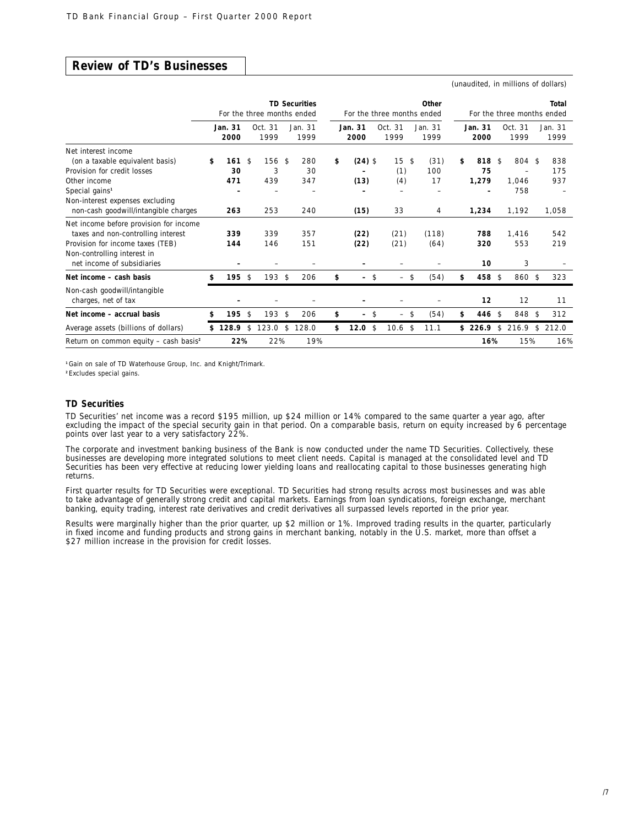# **Review of TD's Businesses**

(unaudited, in millions of dollars)

|                                                                                                                                                                               | <b>TD Securities</b><br>Other<br>For the three months ended<br>For the three months ended |                 |    |                 |               | Total<br>For the three months ended |                 |     |                                 |                 |    |                  |    |                   |    |                 |
|-------------------------------------------------------------------------------------------------------------------------------------------------------------------------------|-------------------------------------------------------------------------------------------|-----------------|----|-----------------|---------------|-------------------------------------|-----------------|-----|---------------------------------|-----------------|----|------------------|----|-------------------|----|-----------------|
|                                                                                                                                                                               |                                                                                           | Jan. 31<br>2000 |    | Oct. 31<br>1999 |               | Jan. 31<br>1999                     | Jan. 31<br>2000 |     | Oct.31<br>1999                  | Jan. 31<br>1999 |    | Jan. 31<br>2000  |    | Oct. 31<br>1999   |    | Jan. 31<br>1999 |
| Net interest income<br>(on a taxable equivalent basis)<br>Provision for credit losses                                                                                         | \$                                                                                        | 161<br>30       | \$ | $156$ \$<br>3   |               | 280<br>30                           | \$<br>$(24)$ \$ |     | 15<br>$\mathcal{L}$<br>(1)      | (31)<br>100     | \$ | 818 \$<br>75     |    | 804 \$            |    | 838<br>175      |
| Other income<br>Special gains <sup>1</sup>                                                                                                                                    |                                                                                           | 471             |    | 439             |               | 347                                 | (13)            |     | (4)                             | 17              |    | 1,279            |    | 1.046<br>758      |    | 937             |
| Non-interest expenses excluding<br>non-cash goodwill/intangible charges                                                                                                       |                                                                                           | 263             |    | 253             |               | 240                                 | (15)            |     | 33                              | 4               |    | 1,234            |    | 1,192             |    | 1,058           |
| Net income before provision for income<br>taxes and non-controlling interest<br>Provision for income taxes (TEB)<br>Non-controlling interest in<br>net income of subsidiaries |                                                                                           | 339<br>144      |    | 339<br>146      |               | 357<br>151                          | (22)<br>(22)    |     | (21)<br>(21)                    | (118)<br>(64)   |    | 788<br>320<br>10 |    | 1,416<br>553<br>3 |    | 542<br>219      |
| Net income - cash basis                                                                                                                                                       | \$                                                                                        | $195$ \$        |    | $193$ \$        |               | 206                                 | \$<br>-         | -\$ | -\$<br>$\overline{a}$           | (54)            | \$ | 458 \$           |    | 860 \$            |    | 323             |
| Non-cash goodwill/intangible<br>charges, net of tax                                                                                                                           |                                                                                           |                 |    |                 |               |                                     |                 |     |                                 |                 |    | 12               |    | 12                |    | 11              |
| Net income - accrual basis                                                                                                                                                    | \$                                                                                        | 195             | \$ | 193             | $\mathcal{L}$ | 206                                 | \$<br>-         | \$  | -\$<br>$\overline{\phantom{0}}$ | (54)            | \$ | 446 \$           |    | 848 \$            |    | 312             |
| Average assets (billions of dollars)                                                                                                                                          |                                                                                           | \$128.9         | \$ | 123.0           | $\mathcal{L}$ | 128.0                               | \$<br>12.0      | -\$ | 10.6<br>\$                      | 11.1            |    | \$226.9          | \$ | 216.9             | \$ | 212.0           |
| Return on common equity $-$ cash basis <sup>2</sup>                                                                                                                           |                                                                                           | 22%             |    | 22%             |               | 19%                                 |                 |     |                                 |                 |    | 16%              |    | 15%               |    | 16%             |

**<sup>1</sup>**Gain on sale of TD Waterhouse Group, Inc. and Knight/Trimark.

**<sup>2</sup>** Excludes special gains.

#### **TD Securities**

TD Securities' net income was a record \$195 million, up \$24 million or 14% compared to the same quarter a year ago, after excluding the impact of the special security gain in that period. On a comparable basis, return on equity increased by 6 percentage points over last year to a very satisfactory 22%.

The corporate and investment banking business of the Bank is now conducted under the name TD Securities. Collectively, these businesses are developing more integrated solutions to meet client needs. Capital is managed at the consolidated level and TD Securities has been very effective at reducing lower yielding loans and reallocating capital to those businesses generating high returns.

First quarter results for TD Securities were exceptional. TD Securities had strong results across most businesses and was able to take advantage of generally strong credit and capital markets. Earnings from loan syndications, foreign exchange, merchant banking, equity trading, interest rate derivatives and credit derivatives all surpassed levels reported in the prior year.

Results were marginally higher than the prior quarter, up \$2 million or 1%. Improved trading results in the quarter, particularly in fixed income and funding products and strong gains in merchant banking, notably in the U.S. market, more than offset a \$27 million increase in the provision for credit losses.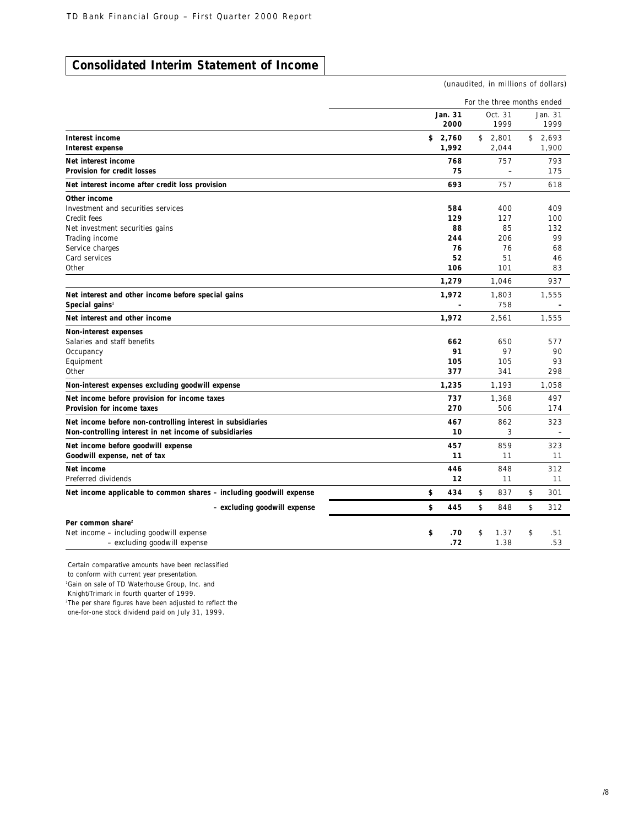# **Consolidated Interim Statement of Income**

(unaudited, in millions of dollars)

|                                                                                                                      |         |                         | For the three months ended |                         |                                 |
|----------------------------------------------------------------------------------------------------------------------|---------|-------------------------|----------------------------|-------------------------|---------------------------------|
|                                                                                                                      | Jan. 31 | 2000                    |                            | Oct. 31<br>1999         | Jan. 31<br>1999                 |
| Interest income<br>Interest expense                                                                                  | \$2,760 | 1,992                   | \$2,801                    | 2,044                   | \$2,693<br>1,900                |
| Net interest income<br><b>Provision for credit losses</b>                                                            |         | 768<br>75               |                            | 757                     | 793<br>175                      |
| Net interest income after credit loss provision                                                                      |         | 693                     |                            | 757                     | 618                             |
| Other income<br>Investment and securities services<br>Credit fees                                                    |         | 584<br>129              |                            | 400<br>127              | 409<br>100                      |
| Net investment securities gains<br>Trading income<br>Service charges                                                 |         | 88<br>244<br>76         |                            | 85<br>206<br>76         | 132<br>99<br>68                 |
| Card services<br>Other                                                                                               |         | 52<br>106               |                            | 51<br>101               | 46<br>83                        |
| Net interest and other income before special gains<br>Special gains <sup>1</sup>                                     |         | 1,279<br>1,972          |                            | 1,046<br>1,803<br>758   | 937<br>1,555                    |
| Net interest and other income                                                                                        |         | 1,972                   |                            | 2,561                   | 1,555                           |
| Non-interest expenses<br>Salaries and staff benefits<br>Occupancy<br>Equipment<br>Other                              |         | 662<br>91<br>105<br>377 |                            | 650<br>97<br>105<br>341 | 577<br>90<br>93<br>298          |
| Non-interest expenses excluding goodwill expense                                                                     |         | 1,235                   |                            | 1.193                   | 1.058                           |
| Net income before provision for income taxes<br>Provision for income taxes                                           |         | 737<br>270              |                            | 1,368<br>506            | 497<br>174                      |
| Net income before non-controlling interest in subsidiaries<br>Non-controlling interest in net income of subsidiaries |         | 467<br>10               |                            | 862<br>3                | 323<br>$\overline{\phantom{a}}$ |
| Net income before goodwill expense<br>Goodwill expense, net of tax                                                   |         | 457<br>11               |                            | 859<br>11               | 323<br>11                       |
| Net income<br>Preferred dividends                                                                                    |         | 446<br>12               |                            | 848<br>11               | 312<br>11                       |
| Net income applicable to common shares - including goodwill expense                                                  | \$      | 434                     | \$                         | 837                     | \$<br>301                       |
| - excluding goodwill expense                                                                                         | \$      | 445                     | \$                         | 848                     | \$<br>312                       |
| Per common share <sup>2</sup><br>Net income - including goodwill expense<br>- excluding goodwill expense             | \$      | .70<br>.72              | \$                         | 1.37<br>1.38            | \$<br>.51<br>.53                |

Certain comparative amounts have been reclassified

to conform with current year presentation.

1 Gain on sale of TD Waterhouse Group, Inc. and

Knight/Trimark in fourth quarter of 1999.

2 The per share figures have been adjusted to reflect the

one-for-one stock dividend paid on July 31, 1999.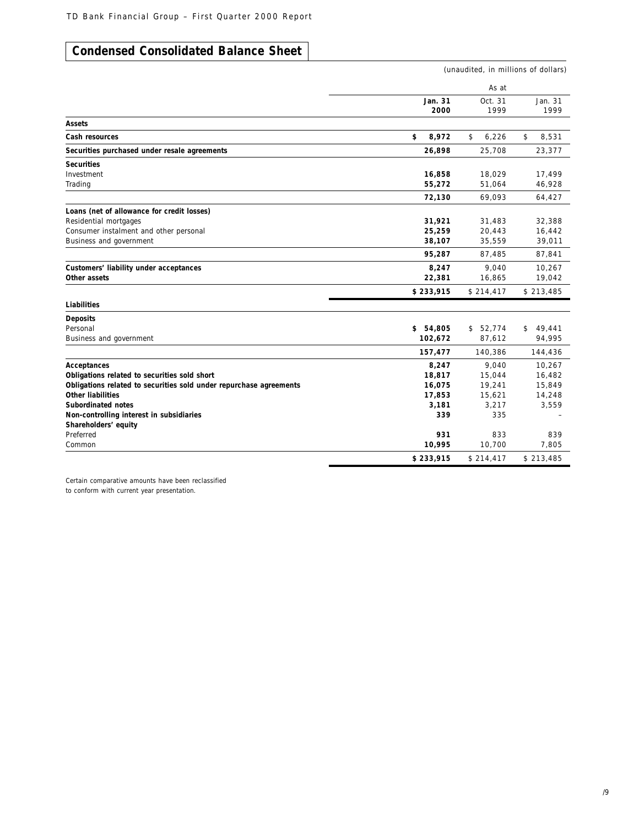# **Condensed Consolidated Balance Sheet**

|                                                                    |                 | (unaudited, in millions of dollars) |                 |  |  |
|--------------------------------------------------------------------|-----------------|-------------------------------------|-----------------|--|--|
|                                                                    |                 | As at                               |                 |  |  |
|                                                                    | Jan. 31<br>2000 | Oct. 31<br>1999                     | Jan. 31<br>1999 |  |  |
| Assets                                                             |                 |                                     |                 |  |  |
| Cash resources                                                     | \$<br>8,972     | 6,226<br>\$                         | \$<br>8,531     |  |  |
| Securities purchased under resale agreements                       | 26,898          | 25,708                              | 23,377          |  |  |
| <b>Securities</b>                                                  |                 |                                     |                 |  |  |
| Investment                                                         | 16,858          | 18,029                              | 17,499          |  |  |
| Trading                                                            | 55,272          | 51,064                              | 46,928          |  |  |
|                                                                    | 72,130          | 69,093                              | 64,427          |  |  |
| Loans (net of allowance for credit losses)                         |                 |                                     |                 |  |  |
| Residential mortgages                                              | 31,921          | 31,483                              | 32,388          |  |  |
| Consumer instalment and other personal                             | 25,259          | 20,443                              | 16,442          |  |  |
| Business and government                                            | 38,107          | 35,559                              | 39,011          |  |  |
|                                                                    | 95,287          | 87,485                              | 87,841          |  |  |
| Customers' liability under acceptances                             | 8,247           | 9,040                               | 10,267          |  |  |
| Other assets                                                       | 22,381          | 16,865                              | 19,042          |  |  |
|                                                                    | \$233,915       | \$214,417                           | \$213,485       |  |  |
| Liabilities                                                        |                 |                                     |                 |  |  |
| <b>Deposits</b>                                                    |                 |                                     |                 |  |  |
| Personal                                                           | \$54,805        | \$52,774                            | 49,441<br>\$    |  |  |
| Business and government                                            | 102,672         | 87,612                              | 94,995          |  |  |
|                                                                    | 157,477         | 140,386                             | 144,436         |  |  |
| Acceptances                                                        | 8,247           | 9.040                               | 10,267          |  |  |
| Obligations related to securities sold short                       | 18,817          | 15,044                              | 16,482          |  |  |
| Obligations related to securities sold under repurchase agreements | 16,075          | 19,241                              | 15,849          |  |  |
| <b>Other liabilities</b>                                           | 17,853          | 15,621                              | 14,248          |  |  |
| Subordinated notes                                                 | 3,181           | 3.217                               | 3,559           |  |  |
| Non-controlling interest in subsidiaries                           | 339             | 335                                 |                 |  |  |
| Shareholders' equity                                               |                 |                                     |                 |  |  |
| Preferred                                                          | 931             | 833                                 | 839             |  |  |
| Common                                                             | 10,995          | 10,700                              | 7,805           |  |  |
|                                                                    | \$233,915       | \$214,417                           | \$213,485       |  |  |

Certain comparative amounts have been reclassified to conform with current year presentation.